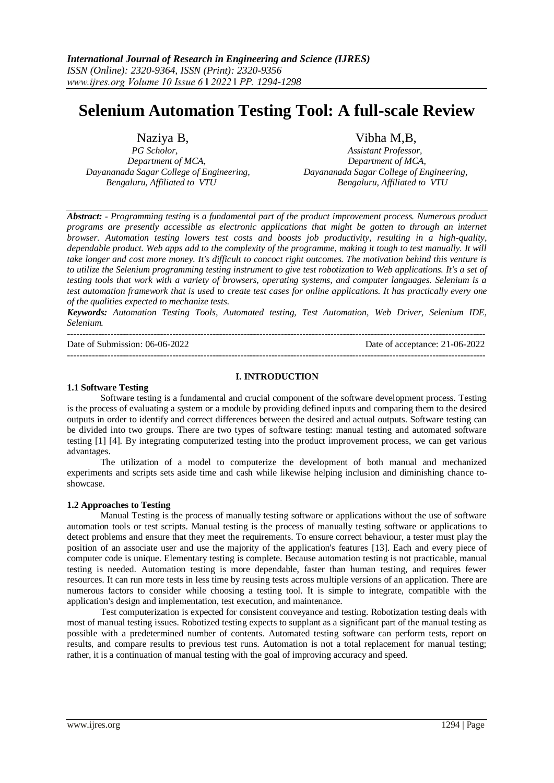# **Selenium Automation Testing Tool: A full-scale Review**

*Department of MCA, Department of MCA, Dayananada Sagar College of Engineering, Dayananada Sagar College of Engineering, Bengaluru, Affiliated to VTU Bengaluru, Affiliated to VTU*

Naziya B, Vibha M,B, Vibha M,B, *PG Scholor*, *PG Scholor, Assistant Professor,*

*Abstract: - Programming testing is a fundamental part of the product improvement process. Numerous product programs are presently accessible as electronic applications that might be gotten to through an internet browser. Automation testing lowers test costs and boosts job productivity, resulting in a high-quality, dependable product. Web apps add to the complexity of the programme, making it tough to test manually. It will take longer and cost more money. It's difficult to concoct right outcomes. The motivation behind this venture is to utilize the Selenium programming testing instrument to give test robotization to Web applications. It's a set of testing tools that work with a variety of browsers, operating systems, and computer languages. Selenium is a test automation framework that is used to create test cases for online applications. It has practically every one of the qualities expected to mechanize tests.*

*Keywords: Automation Testing Tools, Automated testing, Test Automation, Web Driver, Selenium IDE, Selenium.*

--------------------------------------------------------------------------------------------------------------------------------------- Date of Submission: 06-06-2022 Date of acceptance: 21-06-2022

#### **I. INTRODUCTION**

---------------------------------------------------------------------------------------------------------------------------------------

#### **1.1 Software Testing**

Software testing is a fundamental and crucial component of the software development process. Testing is the process of evaluating a system or a module by providing defined inputs and comparing them to the desired outputs in order to identify and correct differences between the desired and actual outputs. Software testing can be divided into two groups. There are two types of software testing: manual testing and automated software testing [1] [4]. By integrating computerized testing into the product improvement process, we can get various advantages.

The utilization of a model to computerize the development of both manual and mechanized experiments and scripts sets aside time and cash while likewise helping inclusion and diminishing chance toshowcase.

#### **1.2 Approaches to Testing**

Manual Testing is the process of manually testing software or applications without the use of software automation tools or test scripts. Manual testing is the process of manually testing software or applications to detect problems and ensure that they meet the requirements. To ensure correct behaviour, a tester must play the position of an associate user and use the majority of the application's features [13]. Each and every piece of computer code is unique. Elementary testing is complete. Because automation testing is not practicable, manual testing is needed. Automation testing is more dependable, faster than human testing, and requires fewer resources. It can run more tests in less time by reusing tests across multiple versions of an application. There are numerous factors to consider while choosing a testing tool. It is simple to integrate, compatible with the application's design and implementation, test execution, and maintenance.

Test computerization is expected for consistent conveyance and testing. Robotization testing deals with most of manual testing issues. Robotized testing expects to supplant as a significant part of the manual testing as possible with a predetermined number of contents. Automated testing software can perform tests, report on results, and compare results to previous test runs. Automation is not a total replacement for manual testing; rather, it is a continuation of manual testing with the goal of improving accuracy and speed.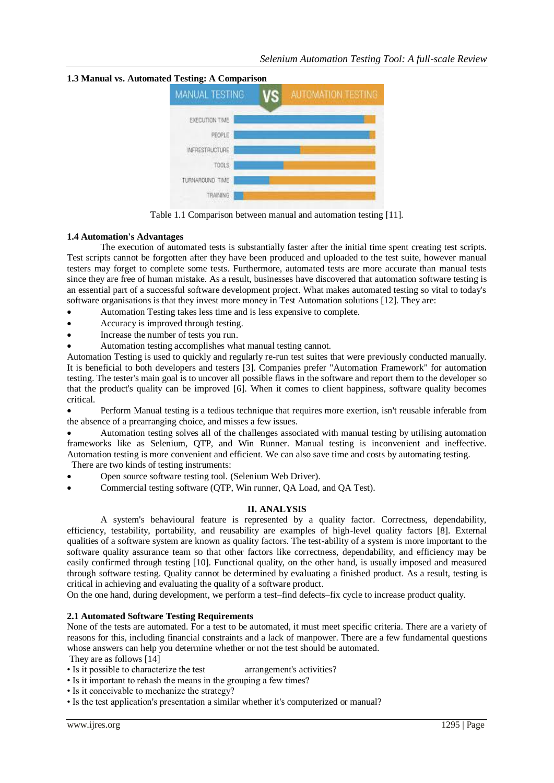

**1.3 Manual vs. Automated Testing: A Comparison**

Table 1.1 Comparison between manual and automation testing [11].

# **1.4 Automation's Advantages**

The execution of automated tests is substantially faster after the initial time spent creating test scripts. Test scripts cannot be forgotten after they have been produced and uploaded to the test suite, however manual testers may forget to complete some tests. Furthermore, automated tests are more accurate than manual tests since they are free of human mistake. As a result, businesses have discovered that automation software testing is an essential part of a successful software development project. What makes automated testing so vital to today's software organisations is that they invest more money in Test Automation solutions [12]. They are:

- Automation Testing takes less time and is less expensive to complete.
- Accuracy is improved through testing.
- Increase the number of tests you run.
- Automation testing accomplishes what manual testing cannot.

Automation Testing is used to quickly and regularly re-run test suites that were previously conducted manually. It is beneficial to both developers and testers [3]. Companies prefer "Automation Framework" for automation testing. The tester's main goal is to uncover all possible flaws in the software and report them to the developer so that the product's quality can be improved [6]. When it comes to client happiness, software quality becomes critical.

 Perform Manual testing is a tedious technique that requires more exertion, isn't reusable inferable from the absence of a prearranging choice, and misses a few issues.

 Automation testing solves all of the challenges associated with manual testing by utilising automation frameworks like as Selenium, QTP, and Win Runner. Manual testing is inconvenient and ineffective. Automation testing is more convenient and efficient. We can also save time and costs by automating testing. There are two kinds of testing instruments:

- Open source software testing tool. (Selenium Web Driver).
- Commercial testing software (QTP, Win runner, QA Load, and QA Test).

# **II. ANALYSIS**

A system's behavioural feature is represented by a quality factor. Correctness, dependability, efficiency, testability, portability, and reusability are examples of high-level quality factors [8]. External qualities of a software system are known as quality factors. The test-ability of a system is more important to the software quality assurance team so that other factors like correctness, dependability, and efficiency may be easily confirmed through testing [10]. Functional quality, on the other hand, is usually imposed and measured through software testing. Quality cannot be determined by evaluating a finished product. As a result, testing is critical in achieving and evaluating the quality of a software product.

On the one hand, during development, we perform a test–find defects–fix cycle to increase product quality.

# **2.1 Automated Software Testing Requirements**

None of the tests are automated. For a test to be automated, it must meet specific criteria. There are a variety of reasons for this, including financial constraints and a lack of manpower. There are a few fundamental questions whose answers can help you determine whether or not the test should be automated.

They are as follows [14]

- Is it possible to characterize the test arrangement's activities?
- Is it important to rehash the means in the grouping a few times?
- Is it conceivable to mechanize the strategy?
- Is the test application's presentation a similar whether it's computerized or manual?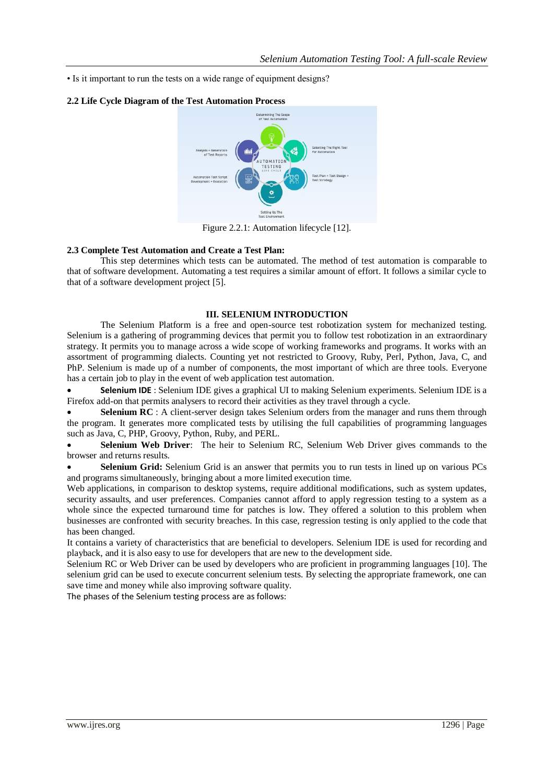• Is it important to run the tests on a wide range of equipment designs?

#### **2.2 Life Cycle Diagram of the Test Automation Process**



Figure 2.2.1: Automation lifecycle [12].

### **2.3 Complete Test Automation and Create a Test Plan:**

This step determines which tests can be automated. The method of test automation is comparable to that of software development. Automating a test requires a similar amount of effort. It follows a similar cycle to that of a software development project [5].

### **III. SELENIUM INTRODUCTION**

The Selenium Platform is a free and open-source test robotization system for mechanized testing. Selenium is a gathering of programming devices that permit you to follow test robotization in an extraordinary strategy. It permits you to manage across a wide scope of working frameworks and programs. It works with an assortment of programming dialects. Counting yet not restricted to Groovy, Ruby, Perl, Python, Java, C, and PhP. Selenium is made up of a number of components, the most important of which are three tools. Everyone has a certain job to play in the event of web application test automation.

 **Selenium IDE** : Selenium IDE gives a graphical UI to making Selenium experiments. Selenium IDE is a Firefox add-on that permits analysers to record their activities as they travel through a cycle.

 **Selenium RC** : A client-server design takes Selenium orders from the manager and runs them through the program. It generates more complicated tests by utilising the full capabilities of programming languages such as Java, C, PHP, Groovy, Python, Ruby, and PERL.

 **Selenium Web Driver**: The heir to Selenium RC, Selenium Web Driver gives commands to the browser and returns results.

 **Selenium Grid:** Selenium Grid is an answer that permits you to run tests in lined up on various PCs and programs simultaneously, bringing about a more limited execution time.

Web applications, in comparison to desktop systems, require additional modifications, such as system updates, security assaults, and user preferences. Companies cannot afford to apply regression testing to a system as a whole since the expected turnaround time for patches is low. They offered a solution to this problem when businesses are confronted with security breaches. In this case, regression testing is only applied to the code that has been changed.

It contains a variety of characteristics that are beneficial to developers. Selenium IDE is used for recording and playback, and it is also easy to use for developers that are new to the development side.

Selenium RC or Web Driver can be used by developers who are proficient in programming languages [10]. The selenium grid can be used to execute concurrent selenium tests. By selecting the appropriate framework, one can save time and money while also improving software quality.

The phases of the Selenium testing process are as follows: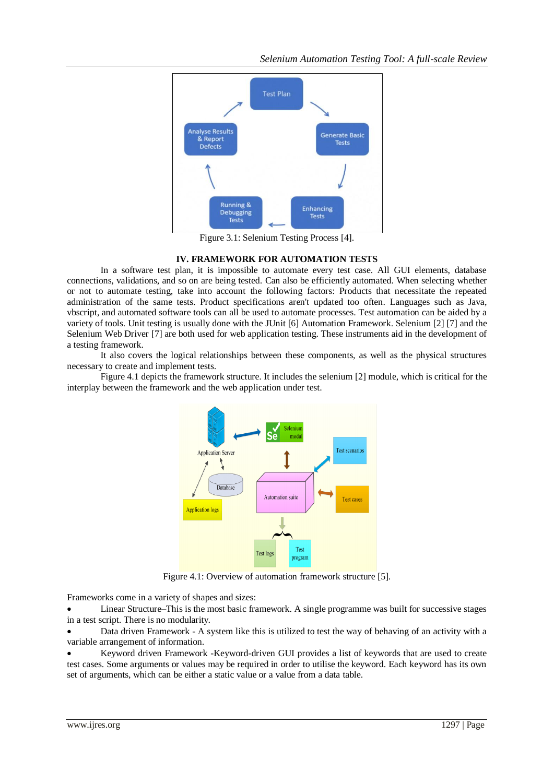

Figure 3.1: Selenium Testing Process [4].

# **IV. FRAMEWORK FOR AUTOMATION TESTS**

In a software test plan, it is impossible to automate every test case. All GUI elements, database connections, validations, and so on are being tested. Can also be efficiently automated. When selecting whether or not to automate testing, take into account the following factors: Products that necessitate the repeated administration of the same tests. Product specifications aren't updated too often. Languages such as Java, vbscript, and automated software tools can all be used to automate processes. Test automation can be aided by a variety of tools. Unit testing is usually done with the JUnit [6] Automation Framework. Selenium [2] [7] and the Selenium Web Driver [7] are both used for web application testing. These instruments aid in the development of a testing framework.

It also covers the logical relationships between these components, as well as the physical structures necessary to create and implement tests.

Figure 4.1 depicts the framework structure. It includes the selenium [2] module, which is critical for the interplay between the framework and the web application under test.



Figure 4.1: Overview of automation framework structure [5].

Frameworks come in a variety of shapes and sizes:

 Linear Structure–This is the most basic framework. A single programme was built for successive stages in a test script. There is no modularity.

 Data driven Framework - A system like this is utilized to test the way of behaving of an activity with a variable arrangement of information.

 Keyword driven Framework -Keyword-driven GUI provides a list of keywords that are used to create test cases. Some arguments or values may be required in order to utilise the keyword. Each keyword has its own set of arguments, which can be either a static value or a value from a data table.